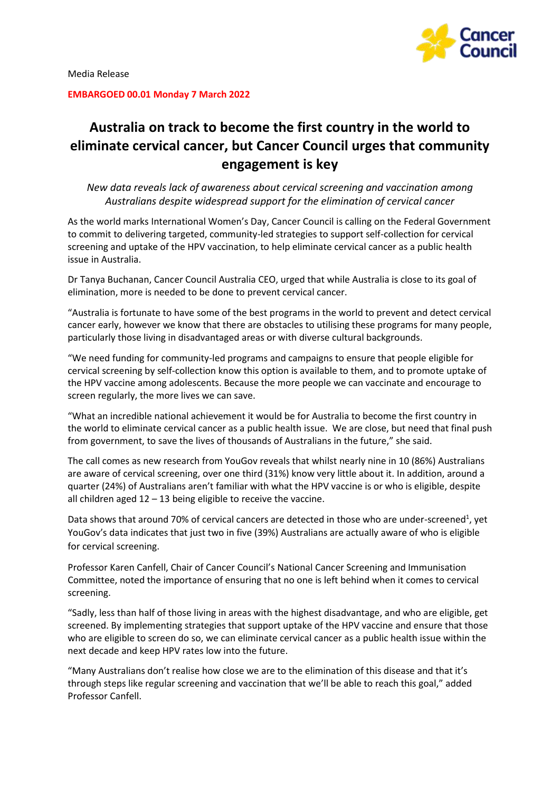

**EMBARGOED 00.01 Monday 7 March 2022**

## **Australia on track to become the first country in the world to eliminate cervical cancer, but Cancer Council urges that community engagement is key**

*New data reveals lack of awareness about cervical screening and vaccination among Australians despite widespread support for the elimination of cervical cancer*

As the world marks International Women's Day, Cancer Council is calling on the Federal Government to commit to delivering targeted, community-led strategies to support self-collection for cervical screening and uptake of the HPV vaccination, to help eliminate cervical cancer as a public health issue in Australia.

Dr Tanya Buchanan, Cancer Council Australia CEO, urged that while Australia is close to its goal of elimination, more is needed to be done to prevent cervical cancer.

"Australia is fortunate to have some of the best programs in the world to prevent and detect cervical cancer early, however we know that there are obstacles to utilising these programs for many people, particularly those living in disadvantaged areas or with diverse cultural backgrounds.

"We need funding for community-led programs and campaigns to ensure that people eligible for cervical screening by self-collection know this option is available to them, and to promote uptake of the HPV vaccine among adolescents. Because the more people we can vaccinate and encourage to screen regularly, the more lives we can save.

"What an incredible national achievement it would be for Australia to become the first country in the world to eliminate cervical cancer as a public health issue. We are close, but need that final push from government, to save the lives of thousands of Australians in the future," she said.

The call comes as new research from YouGov reveals that whilst nearly nine in 10 (86%) Australians are aware of cervical screening, over one third (31%) know very little about it. In addition, around a quarter (24%) of Australians aren't familiar with what the HPV vaccine is or who is eligible, despite all children aged  $12 - 13$  being eligible to receive the vaccine.

Data shows that around 70% of cervical cancers are detected in those who are under-screened<sup>1</sup>, yet YouGov's data indicates that just two in five (39%) Australians are actually aware of who is eligible for cervical screening.

Professor Karen Canfell, Chair of Cancer Council's National Cancer Screening and Immunisation Committee, noted the importance of ensuring that no one is left behind when it comes to cervical screening.

"Sadly, less than half of those living in areas with the highest disadvantage, and who are eligible, get screened. By implementing strategies that support uptake of the HPV vaccine and ensure that those who are eligible to screen do so, we can eliminate cervical cancer as a public health issue within the next decade and keep HPV rates low into the future.

"Many Australians don't realise how close we are to the elimination of this disease and that it's through steps like regular screening and vaccination that we'll be able to reach this goal," added Professor Canfell.